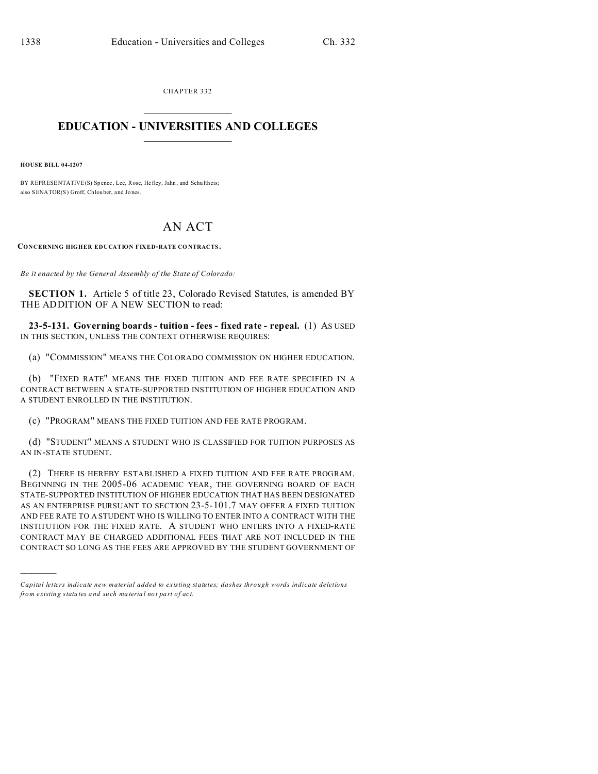CHAPTER 332  $\overline{\phantom{a}}$  , where  $\overline{\phantom{a}}$ 

## **EDUCATION - UNIVERSITIES AND COLLEGES**  $\frac{1}{2}$

**HOUSE BILL 04-1207**

)))))

BY REPRESENTATIVE(S) Spence, Lee, Rose, He fley, Jahn, and Schu ltheis; also SENATOR(S) Groff, Chlouber, and Jo nes.

## AN ACT

**CONCERNING HIGHER EDUCATION FIXED-RATE CO NTRACTS .**

*Be it enacted by the General Assembly of the State of Colorado:*

**SECTION 1.** Article 5 of title 23, Colorado Revised Statutes, is amended BY THE ADDITION OF A NEW SECTION to read:

**23-5-131. Governing boards - tuition - fees - fixed rate - repeal.** (1) AS USED IN THIS SECTION, UNLESS THE CONTEXT OTHERWISE REQUIRES:

(a) "COMMISSION" MEANS THE COLORADO COMMISSION ON HIGHER EDUCATION.

(b) "FIXED RATE" MEANS THE FIXED TUITION AND FEE RATE SPECIFIED IN A CONTRACT BETWEEN A STATE-SUPPORTED INSTITUTION OF HIGHER EDUCATION AND A STUDENT ENROLLED IN THE INSTITUTION.

(c) "PROGRAM" MEANS THE FIXED TUITION AND FEE RATE PROGRAM.

(d) "STUDENT" MEANS A STUDENT WHO IS CLASSIFIED FOR TUITION PURPOSES AS AN IN-STATE STUDENT.

(2) THERE IS HEREBY ESTABLISHED A FIXED TUITION AND FEE RATE PROGRAM. BEGINNING IN THE 2005-06 ACADEMIC YEAR, THE GOVERNING BOARD OF EACH STATE-SUPPORTED INSTITUTION OF HIGHER EDUCATION THAT HAS BEEN DESIGNATED AS AN ENTERPRISE PURSUANT TO SECTION 23-5-101.7 MAY OFFER A FIXED TUITION AND FEE RATE TO A STUDENT WHO IS WILLING TO ENTER INTO A CONTRACT WITH THE INSTITUTION FOR THE FIXED RATE. A STUDENT WHO ENTERS INTO A FIXED-RATE CONTRACT MAY BE CHARGED ADDITIONAL FEES THAT ARE NOT INCLUDED IN THE CONTRACT SO LONG AS THE FEES ARE APPROVED BY THE STUDENT GOVERNMENT OF

*Capital letters indicate new material added to existing statutes; dashes through words indicate deletions from e xistin g statu tes a nd such ma teria l no t pa rt of ac t.*